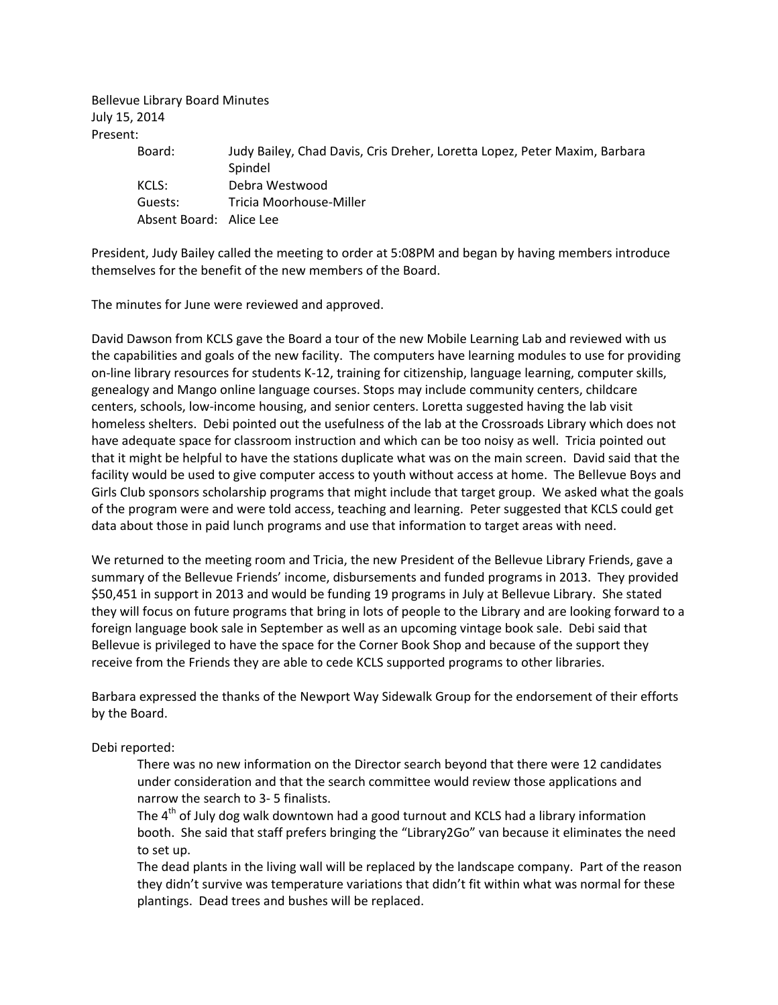Bellevue Library Board Minutes July 15, 2014 Present:

| Judy Bailey, Chad Davis, Cris Dreher, Loretta Lopez, Peter Maxim, Barbara<br>Board: |  |
|-------------------------------------------------------------------------------------|--|
|                                                                                     |  |
| Spindel                                                                             |  |
| KCLS:<br>Debra Westwood                                                             |  |
| Tricia Moorhouse-Miller<br>Guests:                                                  |  |
| Absent Board: Alice Lee                                                             |  |

President, Judy Bailey called the meeting to order at 5:08PM and began by having members introduce themselves for the benefit of the new members of the Board.

The minutes for June were reviewed and approved.

David Dawson from KCLS gave the Board a tour of the new Mobile Learning Lab and reviewed with us the capabilities and goals of the new facility. The computers have learning modules to use for providing on‐line library resources for students K‐12, training for citizenship, language learning, computer skills, genealogy and Mango online language courses. Stops may include community centers, childcare centers, schools, low‐income housing, and senior centers. Loretta suggested having the lab visit homeless shelters. Debi pointed out the usefulness of the lab at the Crossroads Library which does not have adequate space for classroom instruction and which can be too noisy as well. Tricia pointed out that it might be helpful to have the stations duplicate what was on the main screen. David said that the facility would be used to give computer access to youth without access at home. The Bellevue Boys and Girls Club sponsors scholarship programs that might include that target group. We asked what the goals of the program were and were told access, teaching and learning. Peter suggested that KCLS could get data about those in paid lunch programs and use that information to target areas with need.

We returned to the meeting room and Tricia, the new President of the Bellevue Library Friends, gave a summary of the Bellevue Friends' income, disbursements and funded programs in 2013. They provided \$50,451 in support in 2013 and would be funding 19 programs in July at Bellevue Library. She stated they will focus on future programs that bring in lots of people to the Library and are looking forward to a foreign language book sale in September as well as an upcoming vintage book sale. Debi said that Bellevue is privileged to have the space for the Corner Book Shop and because of the support they receive from the Friends they are able to cede KCLS supported programs to other libraries.

Barbara expressed the thanks of the Newport Way Sidewalk Group for the endorsement of their efforts by the Board.

## Debi reported:

There was no new information on the Director search beyond that there were 12 candidates under consideration and that the search committee would review those applications and narrow the search to 3‐ 5 finalists.

The  $4<sup>th</sup>$  of July dog walk downtown had a good turnout and KCLS had a library information booth. She said that staff prefers bringing the "Library2Go" van because it eliminates the need to set up.

The dead plants in the living wall will be replaced by the landscape company. Part of the reason they didn't survive was temperature variations that didn't fit within what was normal for these plantings. Dead trees and bushes will be replaced.